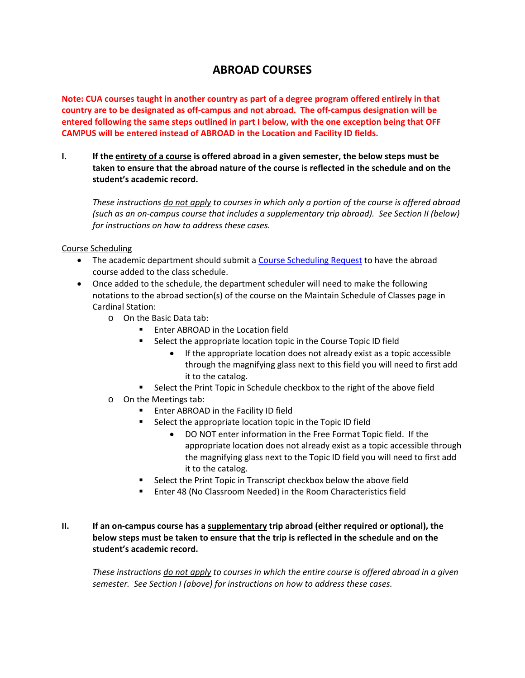## **ABROAD COURSES**

**Note: CUA courses taught in another country as part of a degree program offered entirely in that** country are to be designated as off-campus and not abroad. The off-campus designation will be **entered following the same steps outlined in part I below, with the one exception being that OFF CAMPUS will be entered instead of ABROAD in the Location and Facility ID fields.**

I. If the entirety of a course is offered abroad in a given semester, the below steps must be **taken to ensure that the abroad nature of the course is reflected in the schedule and on the student's academic record.** 

*These instructions do not apply to courses in which only a portion of the course is offered abroad (such as an on‐campus course that includes a supplementary trip abroad). See Section II (below) for instructions on how to address these cases.*

Course Scheduling

- The academic department should submit a Course Scheduling Request to have the abroad course added to the class schedule.
- Once added to the schedule, the department scheduler will need to make the following notations to the abroad section(s) of the course on the Maintain Schedule of Classes page in Cardinal Station:
	- o On the Basic Data tab:
		- Enter ABROAD in the Location field
		- Select the appropriate location topic in the Course Topic ID field
			- If the appropriate location does not already exist as a topic accessible through the magnifying glass next to this field you will need to first add it to the catalog.
		- Select the Print Topic in Schedule checkbox to the right of the above field
	- o On the Meetings tab:
		- Enter ABROAD in the Facility ID field
		- Select the appropriate location topic in the Topic ID field
			- DO NOT enter information in the Free Format Topic field. If the appropriate location does not already exist as a topic accessible through the magnifying glass next to the Topic ID field you will need to first add it to the catalog.
		- **Select the Print Topic in Transcript checkbox below the above field**
		- Enter 48 (No Classroom Needed) in the Room Characteristics field
- **II. If an on‐campus course has a supplementary trip abroad (either required or optional), the below steps must be taken to ensure that the trip is reflected in the schedule and on the student's academic record.**

*These instructions do not apply to courses in which the entire course is offered abroad in a given semester. See Section I (above) for instructions on how to address these cases.*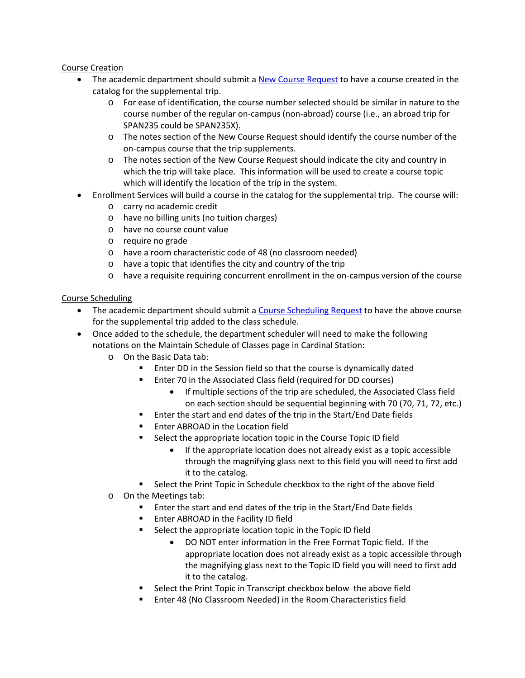## Course Creation

- The academic department should submit a New Course Request to have a course created in the catalog for the supplemental trip.
	- o For ease of identification, the course number selected should be similar in nature to the course number of the regular on‐campus (non‐abroad) course (i.e., an abroad trip for SPAN235 could be SPAN235X).
	- o The notes section of the New Course Request should identify the course number of the on‐campus course that the trip supplements.
	- o The notes section of the New Course Request should indicate the city and country in which the trip will take place. This information will be used to create a course topic which will identify the location of the trip in the system.
- Enrollment Services will build a course in the catalog for the supplemental trip. The course will:
	- o carry no academic credit
	- o have no billing units (no tuition charges)
	- o have no course count value
	- o require no grade
	- o have a room characteristic code of 48 (no classroom needed)
	- o have a topic that identifies the city and country of the trip
	- o have a requisite requiring concurrent enrollment in the on‐campus version of the course

Course Scheduling

- The academic department should submit a Course Scheduling Request to have the above course for the supplemental trip added to the class schedule.
- Once added to the schedule, the department scheduler will need to make the following notations on the Maintain Schedule of Classes page in Cardinal Station:
	- o On the Basic Data tab:
		- Enter DD in the Session field so that the course is dynamically dated
			- Enter 70 in the Associated Class field (required for DD courses)
				- If multiple sections of the trip are scheduled, the Associated Class field on each section should be sequential beginning with 70 (70, 71, 72, etc.)
		- Enter the start and end dates of the trip in the Start/End Date fields
		- **Enter ABROAD in the Location field**
		- Select the appropriate location topic in the Course Topic ID field
			- If the appropriate location does not already exist as a topic accessible through the magnifying glass next to this field you will need to first add it to the catalog.
		- **Select the Print Topic in Schedule checkbox to the right of the above field**
	- o On the Meetings tab:
		- **Enter the start and end dates of the trip in the Start/End Date fields** 
			- Enter ABROAD in the Facility ID field
			- Select the appropriate location topic in the Topic ID field
				- DO NOT enter information in the Free Format Topic field. If the appropriate location does not already exist as a topic accessible through the magnifying glass next to the Topic ID field you will need to first add it to the catalog.
			- **Select the Print Topic in Transcript checkbox below the above field**
			- Enter 48 (No Classroom Needed) in the Room Characteristics field